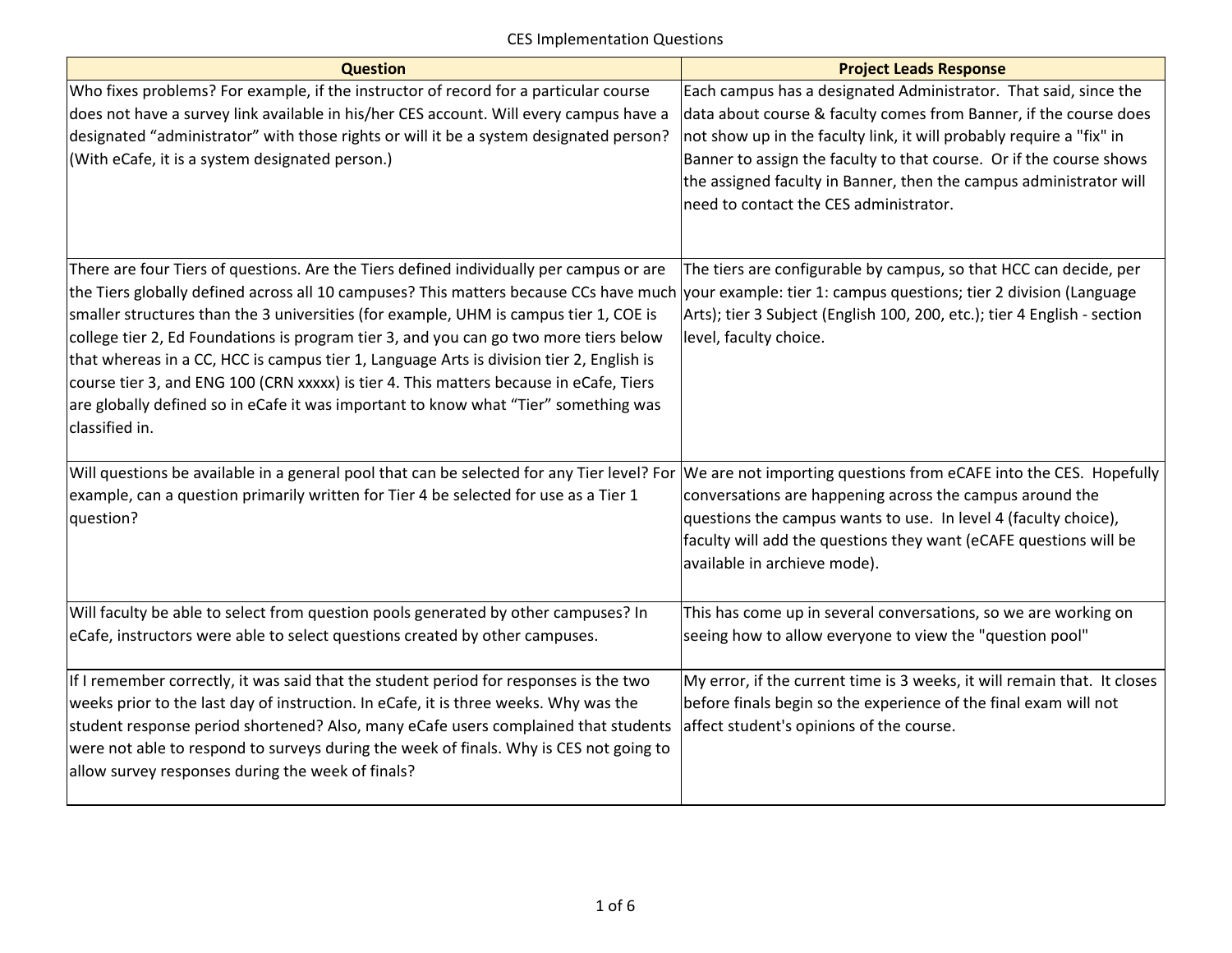| <b>Question</b>                                                                                                                                                                                                                                                                                                                                                                                                                                                                                                                                                                                                                                                   | <b>Project Leads Response</b>                                                                                                                                                                                                                                                                                                                                                                        |
|-------------------------------------------------------------------------------------------------------------------------------------------------------------------------------------------------------------------------------------------------------------------------------------------------------------------------------------------------------------------------------------------------------------------------------------------------------------------------------------------------------------------------------------------------------------------------------------------------------------------------------------------------------------------|------------------------------------------------------------------------------------------------------------------------------------------------------------------------------------------------------------------------------------------------------------------------------------------------------------------------------------------------------------------------------------------------------|
| Who fixes problems? For example, if the instructor of record for a particular course<br>does not have a survey link available in his/her CES account. Will every campus have a<br>designated "administrator" with those rights or will it be a system designated person?<br>(With eCafe, it is a system designated person.)                                                                                                                                                                                                                                                                                                                                       | Each campus has a designated Administrator. That said, since the<br>data about course & faculty comes from Banner, if the course does<br>not show up in the faculty link, it will probably require a "fix" in<br>Banner to assign the faculty to that course. Or if the course shows<br>the assigned faculty in Banner, then the campus administrator will<br>need to contact the CES administrator. |
| There are four Tiers of questions. Are the Tiers defined individually per campus or are<br>the Tiers globally defined across all 10 campuses? This matters because CCs have much<br>smaller structures than the 3 universities (for example, UHM is campus tier 1, COE is<br>college tier 2, Ed Foundations is program tier 3, and you can go two more tiers below<br>that whereas in a CC, HCC is campus tier 1, Language Arts is division tier 2, English is<br>course tier 3, and ENG 100 (CRN xxxxx) is tier 4. This matters because in eCafe, Tiers<br>are globally defined so in eCafe it was important to know what "Tier" something was<br>classified in. | The tiers are configurable by campus, so that HCC can decide, per<br>your example: tier 1: campus questions; tier 2 division (Language<br>Arts); tier 3 Subject (English 100, 200, etc.); tier 4 English - section<br>level, faculty choice.                                                                                                                                                         |
| Will questions be available in a general pool that can be selected for any Tier level? For<br>example, can a question primarily written for Tier 4 be selected for use as a Tier 1<br>question?                                                                                                                                                                                                                                                                                                                                                                                                                                                                   | We are not importing questions from eCAFE into the CES. Hopefully<br>conversations are happening across the campus around the<br>questions the campus wants to use. In level 4 (faculty choice),<br>faculty will add the questions they want (eCAFE questions will be<br>available in archieve mode).                                                                                                |
| Will faculty be able to select from question pools generated by other campuses? In<br>eCafe, instructors were able to select questions created by other campuses.                                                                                                                                                                                                                                                                                                                                                                                                                                                                                                 | This has come up in several conversations, so we are working on<br>seeing how to allow everyone to view the "question pool"                                                                                                                                                                                                                                                                          |
| If I remember correctly, it was said that the student period for responses is the two<br>weeks prior to the last day of instruction. In eCafe, it is three weeks. Why was the<br>student response period shortened? Also, many eCafe users complained that students<br>were not able to respond to surveys during the week of finals. Why is CES not going to<br>allow survey responses during the week of finals?                                                                                                                                                                                                                                                | My error, if the current time is 3 weeks, it will remain that. It closes<br>before finals begin so the experience of the final exam will not<br>affect student's opinions of the course.                                                                                                                                                                                                             |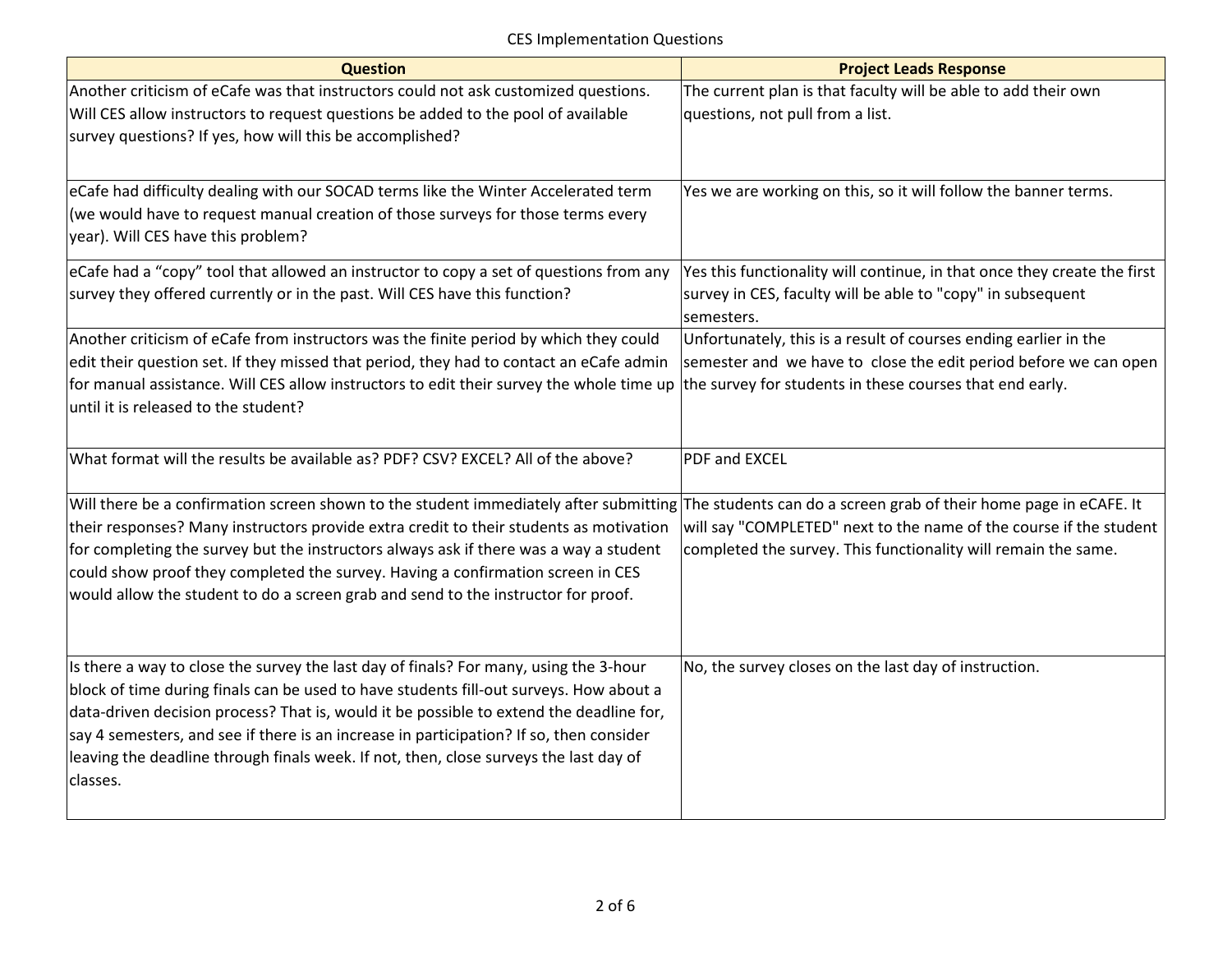| <b>Question</b>                                                                                                                                                                                                                                                                                                                                                                                                                                                                                                                                                                                                                                                                                                                                                                                                                                                                                                                                                                      | <b>Project Leads Response</b>                                                                                                                                                                 |
|--------------------------------------------------------------------------------------------------------------------------------------------------------------------------------------------------------------------------------------------------------------------------------------------------------------------------------------------------------------------------------------------------------------------------------------------------------------------------------------------------------------------------------------------------------------------------------------------------------------------------------------------------------------------------------------------------------------------------------------------------------------------------------------------------------------------------------------------------------------------------------------------------------------------------------------------------------------------------------------|-----------------------------------------------------------------------------------------------------------------------------------------------------------------------------------------------|
| Another criticism of eCafe was that instructors could not ask customized questions.                                                                                                                                                                                                                                                                                                                                                                                                                                                                                                                                                                                                                                                                                                                                                                                                                                                                                                  | The current plan is that faculty will be able to add their own                                                                                                                                |
| Will CES allow instructors to request questions be added to the pool of available                                                                                                                                                                                                                                                                                                                                                                                                                                                                                                                                                                                                                                                                                                                                                                                                                                                                                                    | questions, not pull from a list.                                                                                                                                                              |
| survey questions? If yes, how will this be accomplished?                                                                                                                                                                                                                                                                                                                                                                                                                                                                                                                                                                                                                                                                                                                                                                                                                                                                                                                             |                                                                                                                                                                                               |
|                                                                                                                                                                                                                                                                                                                                                                                                                                                                                                                                                                                                                                                                                                                                                                                                                                                                                                                                                                                      |                                                                                                                                                                                               |
| eCafe had difficulty dealing with our SOCAD terms like the Winter Accelerated term                                                                                                                                                                                                                                                                                                                                                                                                                                                                                                                                                                                                                                                                                                                                                                                                                                                                                                   | Yes we are working on this, so it will follow the banner terms.                                                                                                                               |
| (we would have to request manual creation of those surveys for those terms every                                                                                                                                                                                                                                                                                                                                                                                                                                                                                                                                                                                                                                                                                                                                                                                                                                                                                                     |                                                                                                                                                                                               |
| year). Will CES have this problem?                                                                                                                                                                                                                                                                                                                                                                                                                                                                                                                                                                                                                                                                                                                                                                                                                                                                                                                                                   |                                                                                                                                                                                               |
| eCafe had a "copy" tool that allowed an instructor to copy a set of questions from any                                                                                                                                                                                                                                                                                                                                                                                                                                                                                                                                                                                                                                                                                                                                                                                                                                                                                               | Yes this functionality will continue, in that once they create the first                                                                                                                      |
| survey they offered currently or in the past. Will CES have this function?                                                                                                                                                                                                                                                                                                                                                                                                                                                                                                                                                                                                                                                                                                                                                                                                                                                                                                           | survey in CES, faculty will be able to "copy" in subsequent                                                                                                                                   |
|                                                                                                                                                                                                                                                                                                                                                                                                                                                                                                                                                                                                                                                                                                                                                                                                                                                                                                                                                                                      | semesters.                                                                                                                                                                                    |
| Another criticism of eCafe from instructors was the finite period by which they could                                                                                                                                                                                                                                                                                                                                                                                                                                                                                                                                                                                                                                                                                                                                                                                                                                                                                                | Unfortunately, this is a result of courses ending earlier in the                                                                                                                              |
| edit their question set. If they missed that period, they had to contact an eCafe admin                                                                                                                                                                                                                                                                                                                                                                                                                                                                                                                                                                                                                                                                                                                                                                                                                                                                                              | semester and we have to close the edit period before we can open                                                                                                                              |
| for manual assistance. Will CES allow instructors to edit their survey the whole time up                                                                                                                                                                                                                                                                                                                                                                                                                                                                                                                                                                                                                                                                                                                                                                                                                                                                                             | the survey for students in these courses that end early.                                                                                                                                      |
| until it is released to the student?                                                                                                                                                                                                                                                                                                                                                                                                                                                                                                                                                                                                                                                                                                                                                                                                                                                                                                                                                 |                                                                                                                                                                                               |
|                                                                                                                                                                                                                                                                                                                                                                                                                                                                                                                                                                                                                                                                                                                                                                                                                                                                                                                                                                                      |                                                                                                                                                                                               |
| What format will the results be available as? PDF? CSV? EXCEL? All of the above?                                                                                                                                                                                                                                                                                                                                                                                                                                                                                                                                                                                                                                                                                                                                                                                                                                                                                                     | <b>PDF and EXCEL</b>                                                                                                                                                                          |
|                                                                                                                                                                                                                                                                                                                                                                                                                                                                                                                                                                                                                                                                                                                                                                                                                                                                                                                                                                                      |                                                                                                                                                                                               |
|                                                                                                                                                                                                                                                                                                                                                                                                                                                                                                                                                                                                                                                                                                                                                                                                                                                                                                                                                                                      |                                                                                                                                                                                               |
|                                                                                                                                                                                                                                                                                                                                                                                                                                                                                                                                                                                                                                                                                                                                                                                                                                                                                                                                                                                      |                                                                                                                                                                                               |
|                                                                                                                                                                                                                                                                                                                                                                                                                                                                                                                                                                                                                                                                                                                                                                                                                                                                                                                                                                                      |                                                                                                                                                                                               |
|                                                                                                                                                                                                                                                                                                                                                                                                                                                                                                                                                                                                                                                                                                                                                                                                                                                                                                                                                                                      |                                                                                                                                                                                               |
|                                                                                                                                                                                                                                                                                                                                                                                                                                                                                                                                                                                                                                                                                                                                                                                                                                                                                                                                                                                      |                                                                                                                                                                                               |
|                                                                                                                                                                                                                                                                                                                                                                                                                                                                                                                                                                                                                                                                                                                                                                                                                                                                                                                                                                                      |                                                                                                                                                                                               |
|                                                                                                                                                                                                                                                                                                                                                                                                                                                                                                                                                                                                                                                                                                                                                                                                                                                                                                                                                                                      |                                                                                                                                                                                               |
|                                                                                                                                                                                                                                                                                                                                                                                                                                                                                                                                                                                                                                                                                                                                                                                                                                                                                                                                                                                      |                                                                                                                                                                                               |
|                                                                                                                                                                                                                                                                                                                                                                                                                                                                                                                                                                                                                                                                                                                                                                                                                                                                                                                                                                                      |                                                                                                                                                                                               |
|                                                                                                                                                                                                                                                                                                                                                                                                                                                                                                                                                                                                                                                                                                                                                                                                                                                                                                                                                                                      |                                                                                                                                                                                               |
|                                                                                                                                                                                                                                                                                                                                                                                                                                                                                                                                                                                                                                                                                                                                                                                                                                                                                                                                                                                      |                                                                                                                                                                                               |
| classes.                                                                                                                                                                                                                                                                                                                                                                                                                                                                                                                                                                                                                                                                                                                                                                                                                                                                                                                                                                             |                                                                                                                                                                                               |
|                                                                                                                                                                                                                                                                                                                                                                                                                                                                                                                                                                                                                                                                                                                                                                                                                                                                                                                                                                                      |                                                                                                                                                                                               |
| Will there be a confirmation screen shown to the student immediately after submitting The students can do a screen grab of their home page in eCAFE. It<br>their responses? Many instructors provide extra credit to their students as motivation<br>for completing the survey but the instructors always ask if there was a way a student<br>could show proof they completed the survey. Having a confirmation screen in CES<br>would allow the student to do a screen grab and send to the instructor for proof.<br>Is there a way to close the survey the last day of finals? For many, using the 3-hour<br>block of time during finals can be used to have students fill-out surveys. How about a<br>data-driven decision process? That is, would it be possible to extend the deadline for,<br>say 4 semesters, and see if there is an increase in participation? If so, then consider<br>leaving the deadline through finals week. If not, then, close surveys the last day of | will say "COMPLETED" next to the name of the course if the student<br>completed the survey. This functionality will remain the same.<br>No, the survey closes on the last day of instruction. |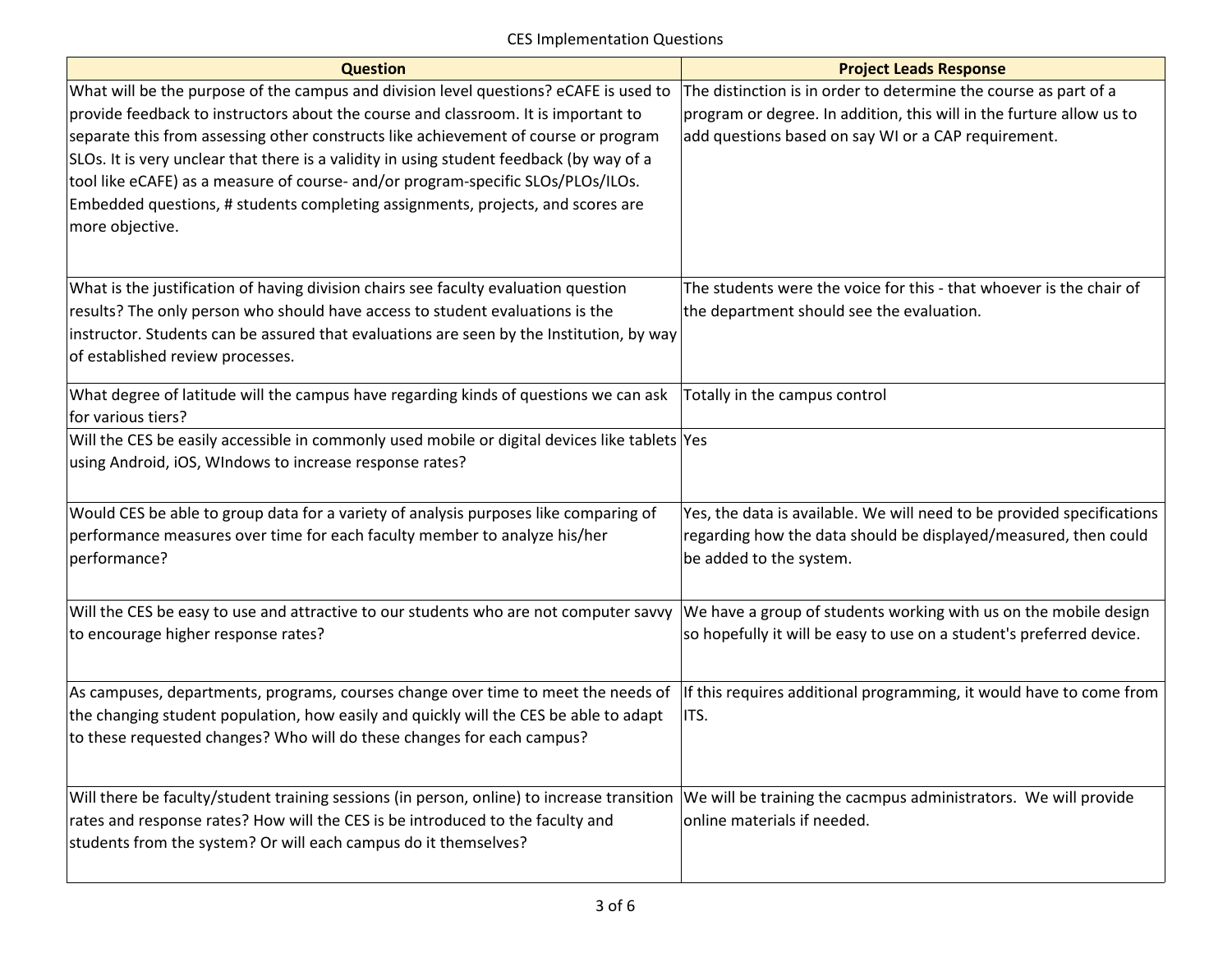| <b>Question</b>                                                                               | <b>Project Leads Response</b>                                          |
|-----------------------------------------------------------------------------------------------|------------------------------------------------------------------------|
| What will be the purpose of the campus and division level questions? eCAFE is used to         | The distinction is in order to determine the course as part of a       |
| provide feedback to instructors about the course and classroom. It is important to            | program or degree. In addition, this will in the furture allow us to   |
| separate this from assessing other constructs like achievement of course or program           | add questions based on say WI or a CAP requirement.                    |
| SLOs. It is very unclear that there is a validity in using student feedback (by way of a      |                                                                        |
| tool like eCAFE) as a measure of course- and/or program-specific SLOs/PLOs/ILOs.              |                                                                        |
| Embedded questions, # students completing assignments, projects, and scores are               |                                                                        |
| more objective.                                                                               |                                                                        |
|                                                                                               |                                                                        |
| What is the justification of having division chairs see faculty evaluation question           | The students were the voice for this - that whoever is the chair of    |
| results? The only person who should have access to student evaluations is the                 | the department should see the evaluation.                              |
| instructor. Students can be assured that evaluations are seen by the Institution, by way      |                                                                        |
| of established review processes.                                                              |                                                                        |
| What degree of latitude will the campus have regarding kinds of questions we can ask          | Totally in the campus control                                          |
| for various tiers?                                                                            |                                                                        |
| Will the CES be easily accessible in commonly used mobile or digital devices like tablets Yes |                                                                        |
| using Android, iOS, WIndows to increase response rates?                                       |                                                                        |
|                                                                                               |                                                                        |
| Would CES be able to group data for a variety of analysis purposes like comparing of          | Yes, the data is available. We will need to be provided specifications |
| performance measures over time for each faculty member to analyze his/her                     | regarding how the data should be displayed/measured, then could        |
| performance?                                                                                  | be added to the system.                                                |
|                                                                                               |                                                                        |
| Will the CES be easy to use and attractive to our students who are not computer savvy         | We have a group of students working with us on the mobile design       |
| to encourage higher response rates?                                                           | so hopefully it will be easy to use on a student's preferred device.   |
|                                                                                               |                                                                        |
| As campuses, departments, programs, courses change over time to meet the needs of             | If this requires additional programming, it would have to come from    |
| the changing student population, how easily and quickly will the CES be able to adapt         | ITS.                                                                   |
| to these requested changes? Who will do these changes for each campus?                        |                                                                        |
|                                                                                               |                                                                        |
| Will there be faculty/student training sessions (in person, online) to increase transition    | We will be training the cacmpus administrators. We will provide        |
| rates and response rates? How will the CES is be introduced to the faculty and                | online materials if needed.                                            |
| students from the system? Or will each campus do it themselves?                               |                                                                        |
|                                                                                               |                                                                        |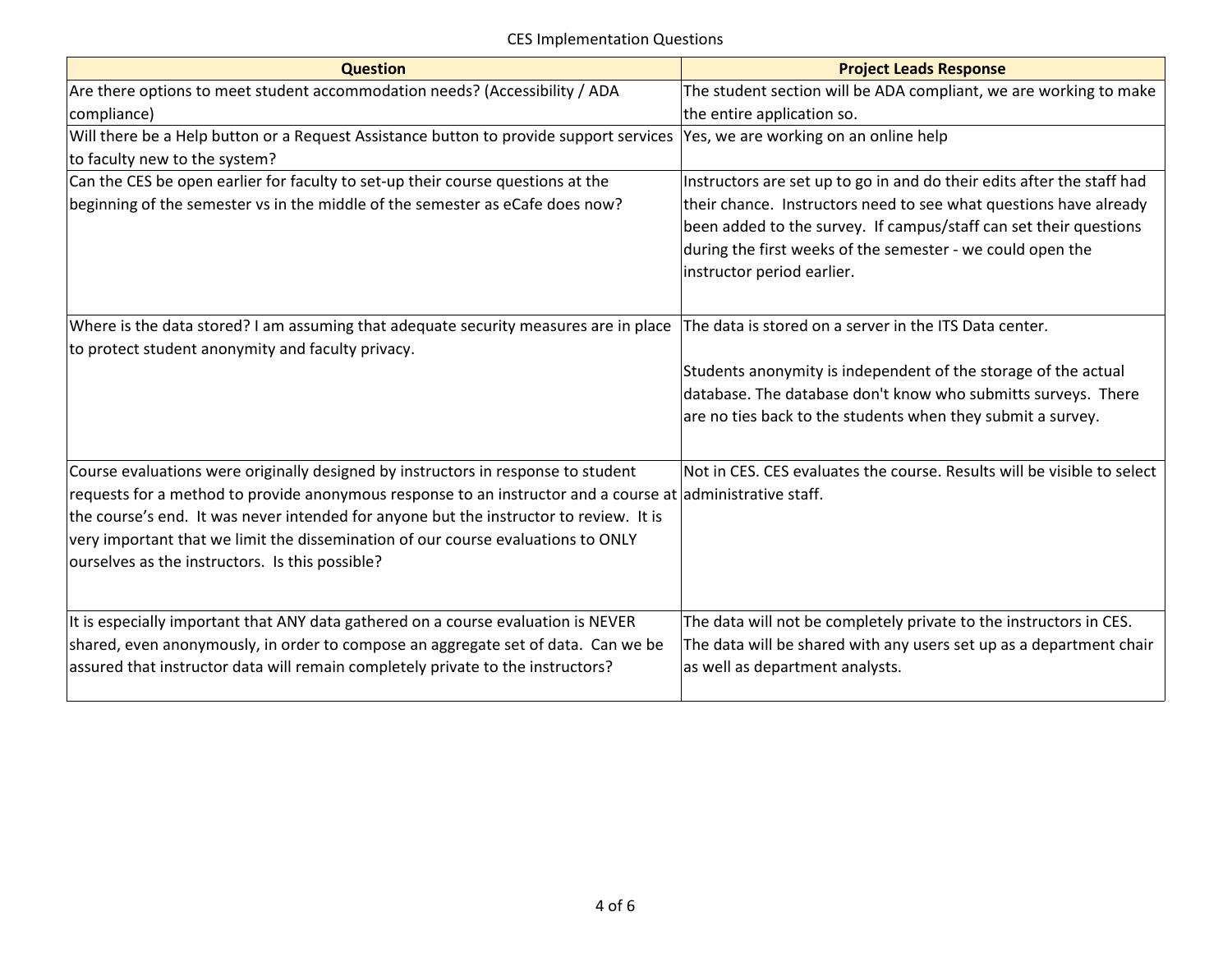| <b>Question</b>                                                                                            | <b>Project Leads Response</b>                                           |
|------------------------------------------------------------------------------------------------------------|-------------------------------------------------------------------------|
| Are there options to meet student accommodation needs? (Accessibility / ADA                                | The student section will be ADA compliant, we are working to make       |
| compliance)                                                                                                | the entire application so.                                              |
| Will there be a Help button or a Request Assistance button to provide support services                     | Yes, we are working on an online help                                   |
| to faculty new to the system?                                                                              |                                                                         |
| Can the CES be open earlier for faculty to set-up their course questions at the                            | Instructors are set up to go in and do their edits after the staff had  |
| beginning of the semester vs in the middle of the semester as eCafe does now?                              | their chance. Instructors need to see what questions have already       |
|                                                                                                            | been added to the survey. If campus/staff can set their questions       |
|                                                                                                            | during the first weeks of the semester - we could open the              |
|                                                                                                            | instructor period earlier.                                              |
|                                                                                                            |                                                                         |
| Where is the data stored? I am assuming that adequate security measures are in place                       | The data is stored on a server in the ITS Data center.                  |
| to protect student anonymity and faculty privacy.                                                          |                                                                         |
|                                                                                                            | Students anonymity is independent of the storage of the actual          |
|                                                                                                            | database. The database don't know who submitts surveys. There           |
|                                                                                                            | are no ties back to the students when they submit a survey.             |
|                                                                                                            |                                                                         |
|                                                                                                            |                                                                         |
| Course evaluations were originally designed by instructors in response to student                          | Not in CES. CES evaluates the course. Results will be visible to select |
| requests for a method to provide anonymous response to an instructor and a course at administrative staff. |                                                                         |
| the course's end. It was never intended for anyone but the instructor to review. It is                     |                                                                         |
| very important that we limit the dissemination of our course evaluations to ONLY                           |                                                                         |
| ourselves as the instructors. Is this possible?                                                            |                                                                         |
|                                                                                                            |                                                                         |
| It is especially important that ANY data gathered on a course evaluation is NEVER                          | The data will not be completely private to the instructors in CES.      |
| shared, even anonymously, in order to compose an aggregate set of data. Can we be                          | The data will be shared with any users set up as a department chair     |
| assured that instructor data will remain completely private to the instructors?                            | as well as department analysts.                                         |
|                                                                                                            |                                                                         |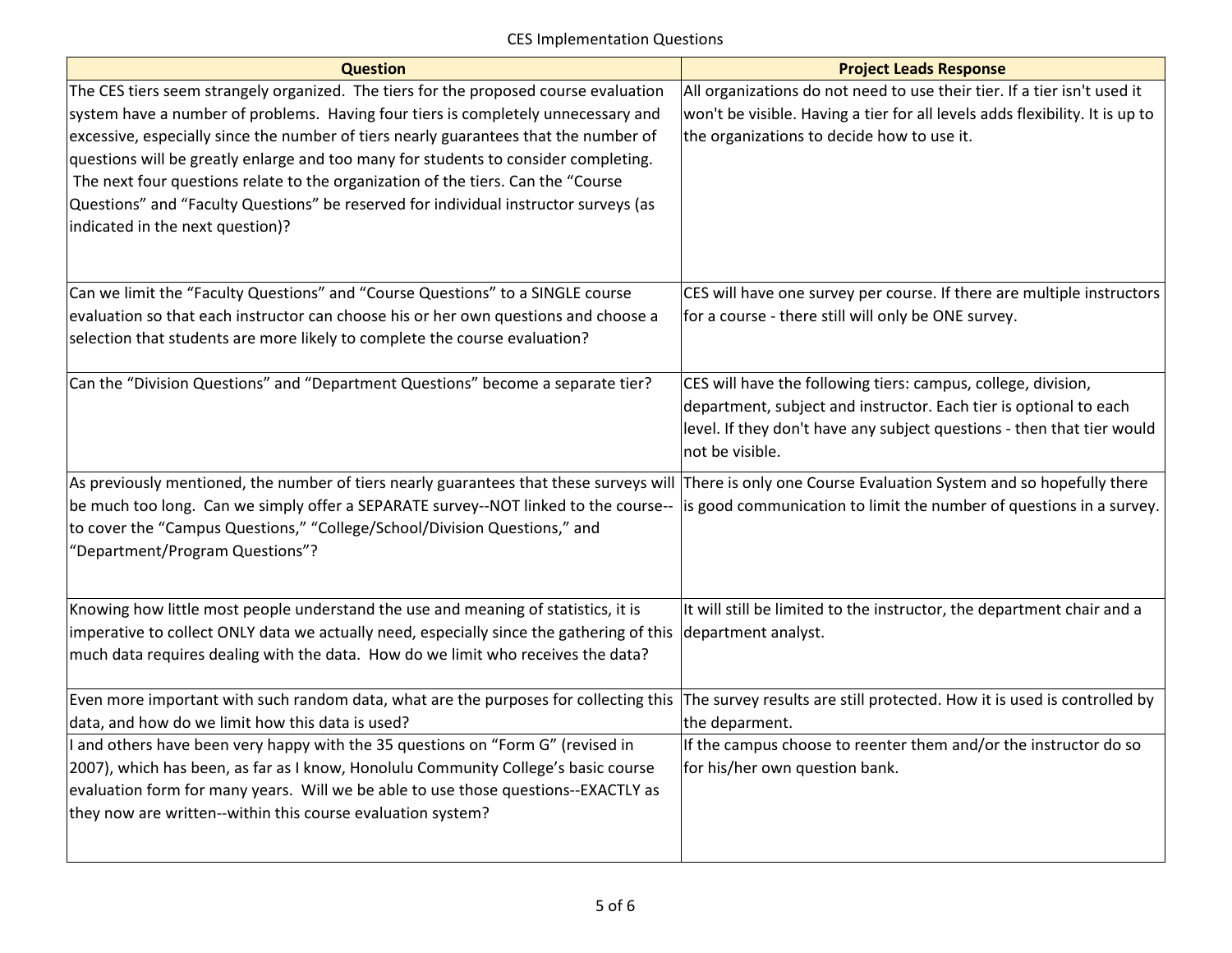| <b>Question</b>                                                                                                                                                                                                                                                                                                                                                                                                                                                                                                                                                          | <b>Project Leads Response</b>                                                                                                                                                                                                   |
|--------------------------------------------------------------------------------------------------------------------------------------------------------------------------------------------------------------------------------------------------------------------------------------------------------------------------------------------------------------------------------------------------------------------------------------------------------------------------------------------------------------------------------------------------------------------------|---------------------------------------------------------------------------------------------------------------------------------------------------------------------------------------------------------------------------------|
| The CES tiers seem strangely organized. The tiers for the proposed course evaluation<br>system have a number of problems. Having four tiers is completely unnecessary and<br>excessive, especially since the number of tiers nearly guarantees that the number of<br>questions will be greatly enlarge and too many for students to consider completing.<br>The next four questions relate to the organization of the tiers. Can the "Course<br>Questions" and "Faculty Questions" be reserved for individual instructor surveys (as<br>indicated in the next question)? | All organizations do not need to use their tier. If a tier isn't used it<br>won't be visible. Having a tier for all levels adds flexibility. It is up to<br>the organizations to decide how to use it.                          |
| Can we limit the "Faculty Questions" and "Course Questions" to a SINGLE course<br>evaluation so that each instructor can choose his or her own questions and choose a<br>selection that students are more likely to complete the course evaluation?                                                                                                                                                                                                                                                                                                                      | CES will have one survey per course. If there are multiple instructors<br>for a course - there still will only be ONE survey.                                                                                                   |
| Can the "Division Questions" and "Department Questions" become a separate tier?                                                                                                                                                                                                                                                                                                                                                                                                                                                                                          | CES will have the following tiers: campus, college, division,<br>department, subject and instructor. Each tier is optional to each<br>level. If they don't have any subject questions - then that tier would<br>not be visible. |
| As previously mentioned, the number of tiers nearly guarantees that these surveys will There is only one Course Evaluation System and so hopefully there<br>be much too long. Can we simply offer a SEPARATE survey--NOT linked to the course--<br>to cover the "Campus Questions," "College/School/Division Questions," and<br>"Department/Program Questions"?                                                                                                                                                                                                          | is good communication to limit the number of questions in a survey.                                                                                                                                                             |
| Knowing how little most people understand the use and meaning of statistics, it is<br>imperative to collect ONLY data we actually need, especially since the gathering of this department analyst.<br>much data requires dealing with the data. How do we limit who receives the data?                                                                                                                                                                                                                                                                                   | It will still be limited to the instructor, the department chair and a                                                                                                                                                          |
| Even more important with such random data, what are the purposes for collecting this<br>data, and how do we limit how this data is used?                                                                                                                                                                                                                                                                                                                                                                                                                                 | The survey results are still protected. How it is used is controlled by<br>the deparment.                                                                                                                                       |
| I and others have been very happy with the 35 questions on "Form G" (revised in<br>2007), which has been, as far as I know, Honolulu Community College's basic course<br>evaluation form for many years. Will we be able to use those questions--EXACTLY as<br>they now are written--within this course evaluation system?                                                                                                                                                                                                                                               | If the campus choose to reenter them and/or the instructor do so<br>for his/her own question bank.                                                                                                                              |